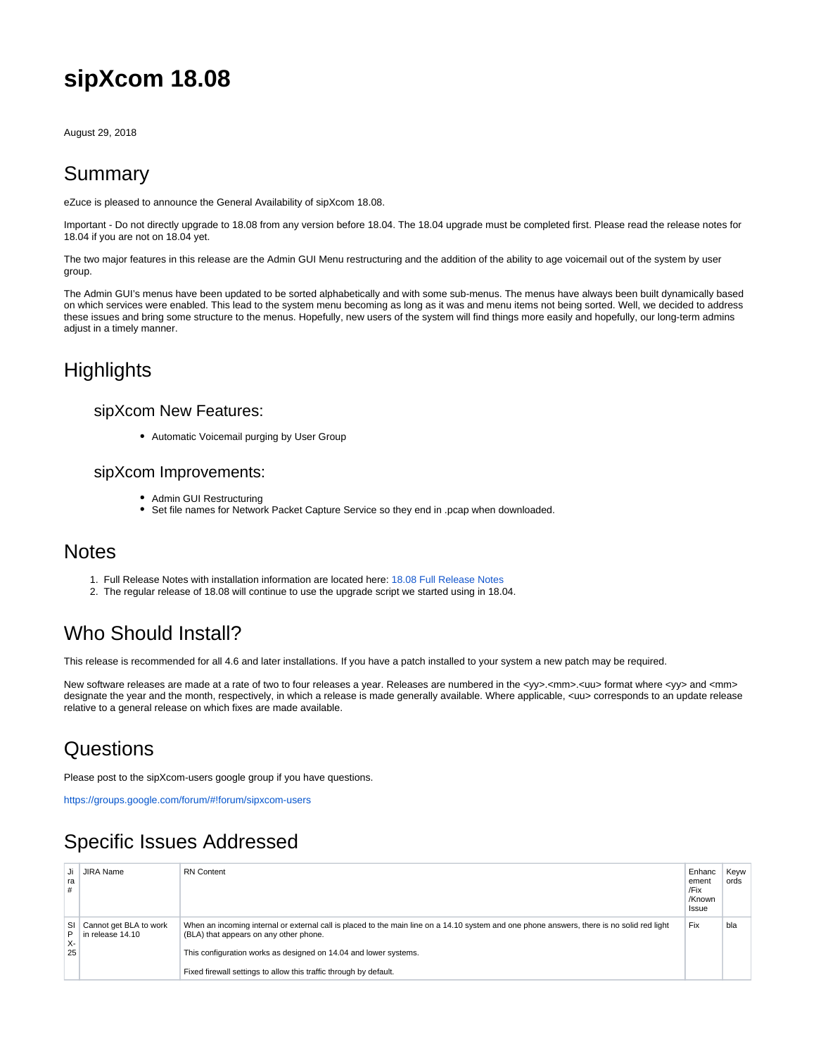# **sipXcom 18.08**

August 29, 2018

### Summary

eZuce is pleased to announce the General Availability of sipXcom 18.08.

Important - Do not directly upgrade to 18.08 from any version before 18.04. The 18.04 upgrade must be completed first. Please read the release notes for 18.04 if you are not on 18.04 yet.

The two major features in this release are the Admin GUI Menu restructuring and the addition of the ability to age voicemail out of the system by user group.

The Admin GUI's menus have been updated to be sorted alphabetically and with some sub-menus. The menus have always been built dynamically based on which services were enabled. This lead to the system menu becoming as long as it was and menu items not being sorted. Well, we decided to address these issues and bring some structure to the menus. Hopefully, new users of the system will find things more easily and hopefully, our long-term admins adjust in a timely manner.

## **Highlights**

#### sipXcom New Features:

Automatic Voicemail purging by User Group

#### sipXcom Improvements:

- Admin GUI Restructuring
- Set file names for Network Packet Capture Service so they end in .pcap when downloaded.

### **Notes**

- 1. Full Release Notes with installation information are located here: [18.08 Full Release Notes](http://wiki.ezuce.com/display/sipXcom/sipXcom+18.08)
- 2. The regular release of 18.08 will continue to use the upgrade script we started using in 18.04.

# Who Should Install?

This release is recommended for all 4.6 and later installations. If you have a patch installed to your system a new patch may be required.

New software releases are made at a rate of two to four releases a year. Releases are numbered in the <yy>.<mm>.<uu> format where <yy> and <mm> designate the year and the month, respectively, in which a release is made generally available. Where applicable, <uu> corresponds to an update release relative to a general release on which fixes are made available.

### **Questions**

Please post to the sipXcom-users google group if you have questions.

<https://groups.google.com/forum/#!forum/sipxcom-users>

### Specific Issues Addressed

| ra<br>#       | JIRA Name                                     | <b>RN</b> Content                                                                                                                                                                                                                                        | Enhanc<br>ement<br>/Fix<br>/Known<br>Issue | Kevw<br>ords |
|---------------|-----------------------------------------------|----------------------------------------------------------------------------------------------------------------------------------------------------------------------------------------------------------------------------------------------------------|--------------------------------------------|--------------|
| P<br>х-<br>25 | SI Cannot get BLA to work<br>in release 14.10 | When an incoming internal or external call is placed to the main line on a 14.10 system and one phone answers, there is no solid red light<br>(BLA) that appears on any other phone.<br>This configuration works as designed on 14.04 and lower systems. | Fix                                        | bla          |
|               |                                               | Fixed firewall settings to allow this traffic through by default.                                                                                                                                                                                        |                                            |              |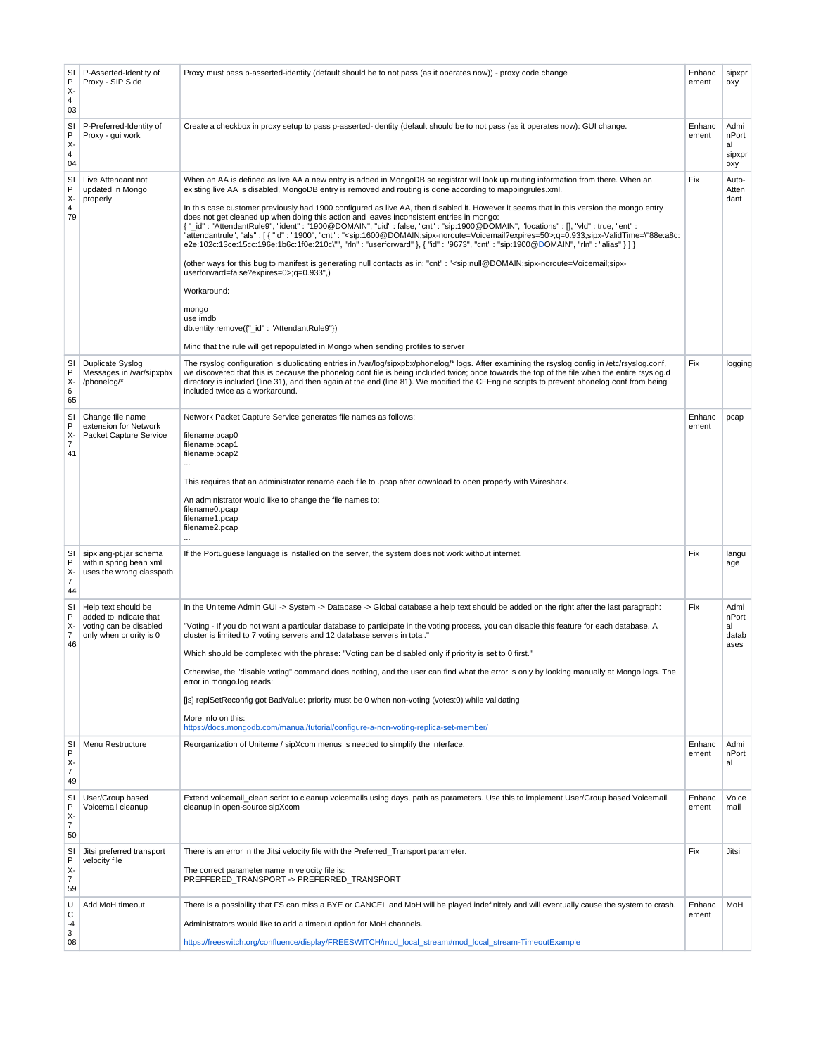| SI<br>$\mathsf{P}$<br>Х-<br>$\overline{4}$<br>03 | P-Asserted-Identity of<br>Proxy - SIP Side                                                         | Proxy must pass p-asserted-identity (default should be to not pass (as it operates now)) - proxy code change                                                                                                                                                                                                                                                                                                                                                                                                                                                                                                                                                                                                                                                                                                                                                                                                                                                                                                                                                                                                                                                                                                                                                                                                                                                                      | Enhanc<br>ement | sipxpr<br>oxy                        |
|--------------------------------------------------|----------------------------------------------------------------------------------------------------|-----------------------------------------------------------------------------------------------------------------------------------------------------------------------------------------------------------------------------------------------------------------------------------------------------------------------------------------------------------------------------------------------------------------------------------------------------------------------------------------------------------------------------------------------------------------------------------------------------------------------------------------------------------------------------------------------------------------------------------------------------------------------------------------------------------------------------------------------------------------------------------------------------------------------------------------------------------------------------------------------------------------------------------------------------------------------------------------------------------------------------------------------------------------------------------------------------------------------------------------------------------------------------------------------------------------------------------------------------------------------------------|-----------------|--------------------------------------|
| SI<br>P<br>X-<br>4<br>04                         | P-Preferred-Identity of<br>Proxy - qui work                                                        | Create a checkbox in proxy setup to pass p-asserted-identity (default should be to not pass (as it operates now): GUI change.                                                                                                                                                                                                                                                                                                                                                                                                                                                                                                                                                                                                                                                                                                                                                                                                                                                                                                                                                                                                                                                                                                                                                                                                                                                     | Enhanc<br>ement | Admi<br>nPort<br>al<br>sipxpr<br>oxy |
| SI<br>P<br>X-<br>$\overline{\mathbf{4}}$<br>79   | Live Attendant not<br>updated in Mongo<br>properly                                                 | When an AA is defined as live AA a new entry is added in MongoDB so registrar will look up routing information from there. When an<br>existing live AA is disabled, MongoDB entry is removed and routing is done according to mappingrules.xml.<br>In this case customer previously had 1900 configured as live AA, then disabled it. However it seems that in this version the mongo entry<br>does not get cleaned up when doing this action and leaves inconsistent entries in mongo:<br>{ " id": "AttendantRule9", "ident": "1900@DOMAIN", "uid": false, "cnt": "sip:1900@DOMAIN", "locations": [], "vld": true, "ent":<br>"attendantrule", "als": [{ "id": "1900", "cnt": " <sip:1600@domain;sipx-noroute=voicemail?expires=50>;q=0.933;sipx-ValidTime=\"88e:a8c:<br/>e2e:102c:13ce:15cc:196e:1b6c:1f0e:210c\"", "rln" : "userforward" }, { "id" : "9673", "cnt" : "sip:1900@DOMAIN", "rln" : "alias" } ] }<br/>(other ways for this bug to manifest is generating null contacts as in: "cnt": "<sip:null@domain;sipx-noroute=voicemail;sipx-<br>userforward=false?expires=0&gt;;q=0.933",)<br/>Workaround:<br/>mongo<br/>use imdb<br/>db.entity.remove({"_id": "AttendantRule9"})<br/>Mind that the rule will get repopulated in Mongo when sending profiles to server</sip:null@domain;sipx-noroute=voicemail;sipx-<br></sip:1600@domain;sipx-noroute=voicemail?expires=50> | Fix             | Auto-<br>Atten<br>dant               |
| SI<br>$\mathsf{P}$<br>$X -$<br>6<br>65           | Duplicate Syslog<br>Messages in /var/sipxpbx<br>/phonelog/*                                        | The rsyslog configuration is duplicating entries in /var/log/sipxpbx/phonelog/* logs. After examining the rsyslog config in /etc/rsyslog.conf,<br>we discovered that this is because the phonelog.conf file is being included twice; once towards the top of the file when the entire rsyslog.d<br>directory is included (line 31), and then again at the end (line 81). We modified the CFEngine scripts to prevent phonelog.conf from being<br>included twice as a workaround.                                                                                                                                                                                                                                                                                                                                                                                                                                                                                                                                                                                                                                                                                                                                                                                                                                                                                                  | Fix             | logging                              |
| SI<br>P<br>χ.<br>$\overline{7}$<br>41            | Change file name<br>extension for Network<br>Packet Capture Service                                | Network Packet Capture Service generates file names as follows:<br>filename.pcap0<br>filename.pcap1<br>filename.pcap2<br>$\cdots$<br>This requires that an administrator rename each file to .pcap after download to open properly with Wireshark.<br>An administrator would like to change the file names to:<br>filename0.pcap<br>filename1.pcap<br>filename2.pcap<br>$\cdots$                                                                                                                                                                                                                                                                                                                                                                                                                                                                                                                                                                                                                                                                                                                                                                                                                                                                                                                                                                                                  | Enhanc<br>ement | pcap                                 |
| SI<br>P<br>χ.<br>$\overline{7}$<br>44            | sipxlang-pt.jar schema<br>within spring bean xml<br>uses the wrong classpath                       | If the Portuguese language is installed on the server, the system does not work without internet.                                                                                                                                                                                                                                                                                                                                                                                                                                                                                                                                                                                                                                                                                                                                                                                                                                                                                                                                                                                                                                                                                                                                                                                                                                                                                 | Fix             | langu<br>age                         |
| SI<br>P<br>χ.<br>$\overline{7}$<br>46            | Help text should be<br>added to indicate that<br>voting can be disabled<br>only when priority is 0 | In the Uniteme Admin GUI -> System -> Database -> Global database a help text should be added on the right after the last paragraph:<br>"Voting - If you do not want a particular database to participate in the voting process, you can disable this feature for each database. A<br>cluster is limited to 7 voting servers and 12 database servers in total."<br>Which should be completed with the phrase: "Voting can be disabled only if priority is set to 0 first."<br>Otherwise, the "disable voting" command does nothing, and the user can find what the error is only by looking manually at Mongo logs. The<br>error in mongo.log reads:<br>[is] replSetReconfig got BadValue: priority must be 0 when non-voting (votes:0) while validating<br>More info on this:<br>https://docs.mongodb.com/manual/tutorial/configure-a-non-voting-replica-set-member/                                                                                                                                                                                                                                                                                                                                                                                                                                                                                                             | Fix             | Admi<br>nPort<br>al<br>datab<br>ases |
| SI<br>P<br>χ.<br>7<br>49                         | Menu Restructure                                                                                   | Reorganization of Uniteme / sipXcom menus is needed to simplify the interface.                                                                                                                                                                                                                                                                                                                                                                                                                                                                                                                                                                                                                                                                                                                                                                                                                                                                                                                                                                                                                                                                                                                                                                                                                                                                                                    | Enhanc<br>ement | Admi<br>nPort<br>al                  |
| SI<br>P<br>χ.<br>7<br>50                         | User/Group based<br>Voicemail cleanup                                                              | Extend voicemail_clean script to cleanup voicemails using days, path as parameters. Use this to implement User/Group based Voicemail<br>cleanup in open-source sipXcom                                                                                                                                                                                                                                                                                                                                                                                                                                                                                                                                                                                                                                                                                                                                                                                                                                                                                                                                                                                                                                                                                                                                                                                                            | Enhanc<br>ement | Voice<br>mail                        |
| SI<br>$\mathsf{P}$<br>χ.<br>7<br>59              | Jitsi preferred transport<br>velocity file                                                         | There is an error in the Jitsi velocity file with the Preferred_Transport parameter.<br>The correct parameter name in velocity file is:<br>PREFFERED_TRANSPORT -> PREFERRED_TRANSPORT                                                                                                                                                                                                                                                                                                                                                                                                                                                                                                                                                                                                                                                                                                                                                                                                                                                                                                                                                                                                                                                                                                                                                                                             | Fix             | Jitsi                                |
| U<br>C<br>-4<br>3<br>08                          | Add MoH timeout                                                                                    | There is a possibility that FS can miss a BYE or CANCEL and MoH will be played indefinitely and will eventually cause the system to crash.<br>Administrators would like to add a timeout option for MoH channels.<br>https://freeswitch.org/confluence/display/FREESWITCH/mod_local_stream#mod_local_stream-TimeoutExample                                                                                                                                                                                                                                                                                                                                                                                                                                                                                                                                                                                                                                                                                                                                                                                                                                                                                                                                                                                                                                                        | Enhanc<br>ement | MoH                                  |